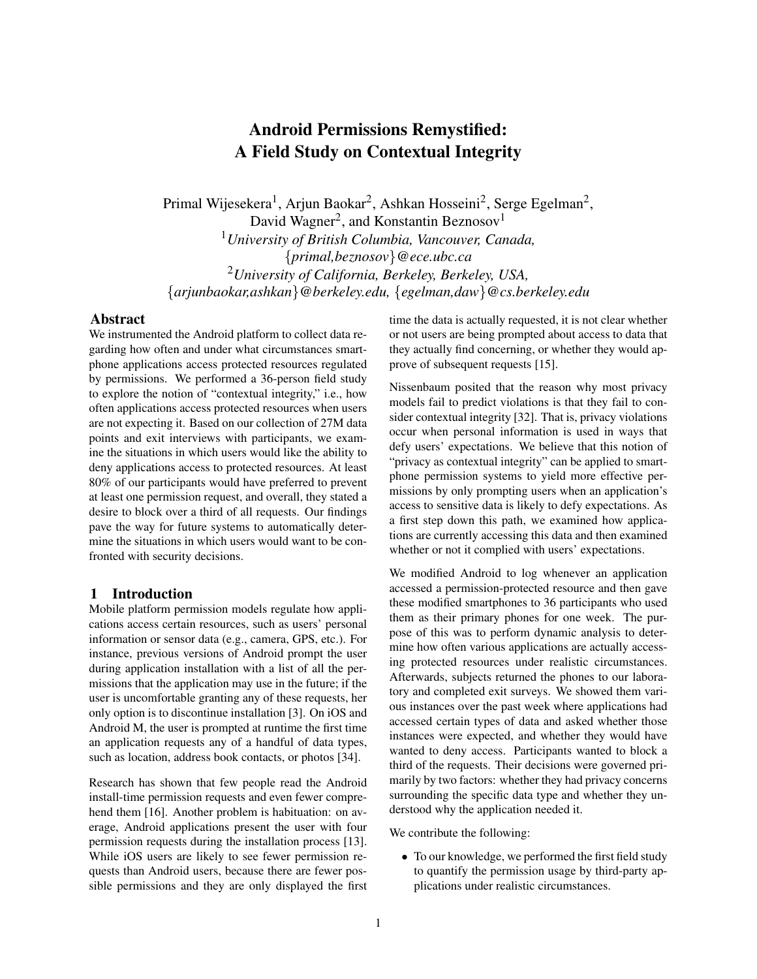# Android Permissions Remystified: A Field Study on Contextual Integrity

Primal Wijesekera<sup>1</sup>, Arjun Baokar<sup>2</sup>, Ashkan Hosseini<sup>2</sup>, Serge Egelman<sup>2</sup>, David Wagner<sup>2</sup>, and Konstantin Beznosov<sup>1</sup> <sup>1</sup>*University of British Columbia, Vancouver, Canada,* {*primal,beznosov*}*@ece.ubc.ca* <sup>2</sup>*University of California, Berkeley, Berkeley, USA,* {*arjunbaokar,ashkan*}*@berkeley.edu,* {*egelman,daw*}*@cs.berkeley.edu*

### Abstract

We instrumented the Android platform to collect data regarding how often and under what circumstances smartphone applications access protected resources regulated by permissions. We performed a 36-person field study to explore the notion of "contextual integrity," i.e., how often applications access protected resources when users are not expecting it. Based on our collection of 27M data points and exit interviews with participants, we examine the situations in which users would like the ability to deny applications access to protected resources. At least 80% of our participants would have preferred to prevent at least one permission request, and overall, they stated a desire to block over a third of all requests. Our findings pave the way for future systems to automatically determine the situations in which users would want to be confronted with security decisions.

# 1 Introduction

Mobile platform permission models regulate how applications access certain resources, such as users' personal information or sensor data (e.g., camera, GPS, etc.). For instance, previous versions of Android prompt the user during application installation with a list of all the permissions that the application may use in the future; if the user is uncomfortable granting any of these requests, her only option is to discontinue installation [3]. On iOS and Android M, the user is prompted at runtime the first time an application requests any of a handful of data types, such as location, address book contacts, or photos [34].

Research has shown that few people read the Android install-time permission requests and even fewer comprehend them [16]. Another problem is habituation: on average, Android applications present the user with four permission requests during the installation process [13]. While iOS users are likely to see fewer permission requests than Android users, because there are fewer possible permissions and they are only displayed the first time the data is actually requested, it is not clear whether or not users are being prompted about access to data that they actually find concerning, or whether they would approve of subsequent requests [15].

Nissenbaum posited that the reason why most privacy models fail to predict violations is that they fail to consider contextual integrity [32]. That is, privacy violations occur when personal information is used in ways that defy users' expectations. We believe that this notion of "privacy as contextual integrity" can be applied to smartphone permission systems to yield more effective permissions by only prompting users when an application's access to sensitive data is likely to defy expectations. As a first step down this path, we examined how applications are currently accessing this data and then examined whether or not it complied with users' expectations.

We modified Android to log whenever an application accessed a permission-protected resource and then gave these modified smartphones to 36 participants who used them as their primary phones for one week. The purpose of this was to perform dynamic analysis to determine how often various applications are actually accessing protected resources under realistic circumstances. Afterwards, subjects returned the phones to our laboratory and completed exit surveys. We showed them various instances over the past week where applications had accessed certain types of data and asked whether those instances were expected, and whether they would have wanted to deny access. Participants wanted to block a third of the requests. Their decisions were governed primarily by two factors: whether they had privacy concerns surrounding the specific data type and whether they understood why the application needed it.

We contribute the following:

• To our knowledge, we performed the first field study to quantify the permission usage by third-party applications under realistic circumstances.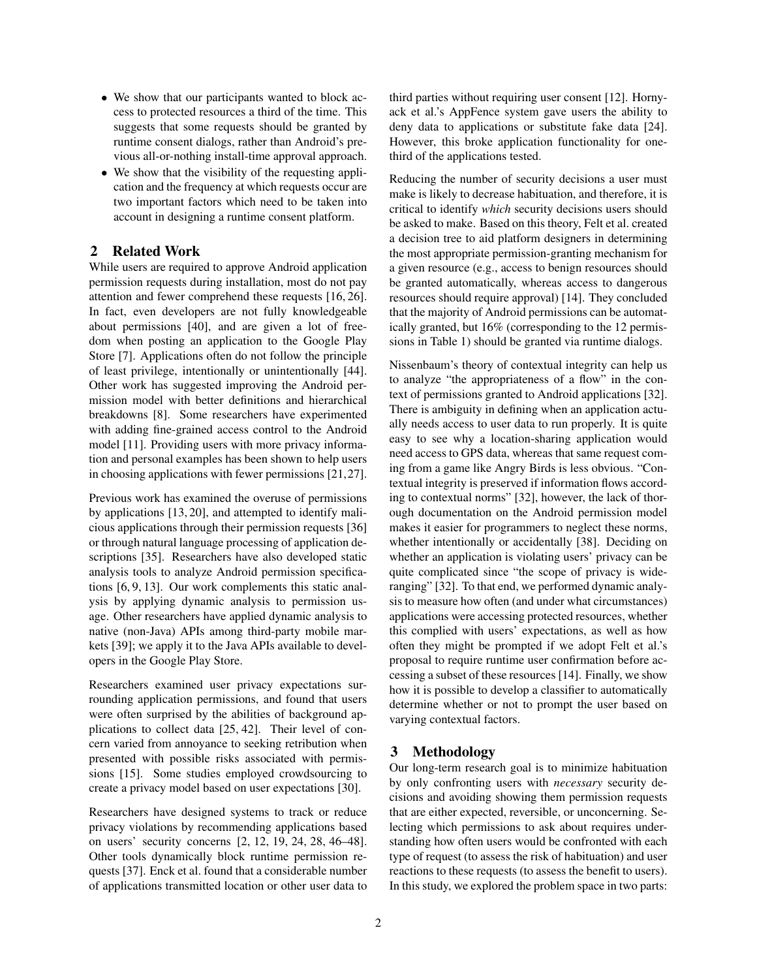- We show that our participants wanted to block access to protected resources a third of the time. This suggests that some requests should be granted by runtime consent dialogs, rather than Android's previous all-or-nothing install-time approval approach.
- We show that the visibility of the requesting application and the frequency at which requests occur are two important factors which need to be taken into account in designing a runtime consent platform.

# 2 Related Work

While users are required to approve Android application permission requests during installation, most do not pay attention and fewer comprehend these requests [16, 26]. In fact, even developers are not fully knowledgeable about permissions [40], and are given a lot of freedom when posting an application to the Google Play Store [7]. Applications often do not follow the principle of least privilege, intentionally or unintentionally [44]. Other work has suggested improving the Android permission model with better definitions and hierarchical breakdowns [8]. Some researchers have experimented with adding fine-grained access control to the Android model [11]. Providing users with more privacy information and personal examples has been shown to help users in choosing applications with fewer permissions [21,27].

Previous work has examined the overuse of permissions by applications [13, 20], and attempted to identify malicious applications through their permission requests [36] or through natural language processing of application descriptions [35]. Researchers have also developed static analysis tools to analyze Android permission specifications [6, 9, 13]. Our work complements this static analysis by applying dynamic analysis to permission usage. Other researchers have applied dynamic analysis to native (non-Java) APIs among third-party mobile markets [39]; we apply it to the Java APIs available to developers in the Google Play Store.

Researchers examined user privacy expectations surrounding application permissions, and found that users were often surprised by the abilities of background applications to collect data [25, 42]. Their level of concern varied from annoyance to seeking retribution when presented with possible risks associated with permissions [15]. Some studies employed crowdsourcing to create a privacy model based on user expectations [30].

Researchers have designed systems to track or reduce privacy violations by recommending applications based on users' security concerns [2, 12, 19, 24, 28, 46–48]. Other tools dynamically block runtime permission requests [37]. Enck et al. found that a considerable number of applications transmitted location or other user data to third parties without requiring user consent [12]. Hornyack et al.'s AppFence system gave users the ability to deny data to applications or substitute fake data [24]. However, this broke application functionality for onethird of the applications tested.

Reducing the number of security decisions a user must make is likely to decrease habituation, and therefore, it is critical to identify *which* security decisions users should be asked to make. Based on this theory, Felt et al. created a decision tree to aid platform designers in determining the most appropriate permission-granting mechanism for a given resource (e.g., access to benign resources should be granted automatically, whereas access to dangerous resources should require approval) [14]. They concluded that the majority of Android permissions can be automatically granted, but 16% (corresponding to the 12 permissions in Table 1) should be granted via runtime dialogs.

Nissenbaum's theory of contextual integrity can help us to analyze "the appropriateness of a flow" in the context of permissions granted to Android applications [32]. There is ambiguity in defining when an application actually needs access to user data to run properly. It is quite easy to see why a location-sharing application would need access to GPS data, whereas that same request coming from a game like Angry Birds is less obvious. "Contextual integrity is preserved if information flows according to contextual norms" [32], however, the lack of thorough documentation on the Android permission model makes it easier for programmers to neglect these norms, whether intentionally or accidentally [38]. Deciding on whether an application is violating users' privacy can be quite complicated since "the scope of privacy is wideranging" [32]. To that end, we performed dynamic analysis to measure how often (and under what circumstances) applications were accessing protected resources, whether this complied with users' expectations, as well as how often they might be prompted if we adopt Felt et al.'s proposal to require runtime user confirmation before accessing a subset of these resources [14]. Finally, we show how it is possible to develop a classifier to automatically determine whether or not to prompt the user based on varying contextual factors.

# 3 Methodology

Our long-term research goal is to minimize habituation by only confronting users with *necessary* security decisions and avoiding showing them permission requests that are either expected, reversible, or unconcerning. Selecting which permissions to ask about requires understanding how often users would be confronted with each type of request (to assess the risk of habituation) and user reactions to these requests (to assess the benefit to users). In this study, we explored the problem space in two parts: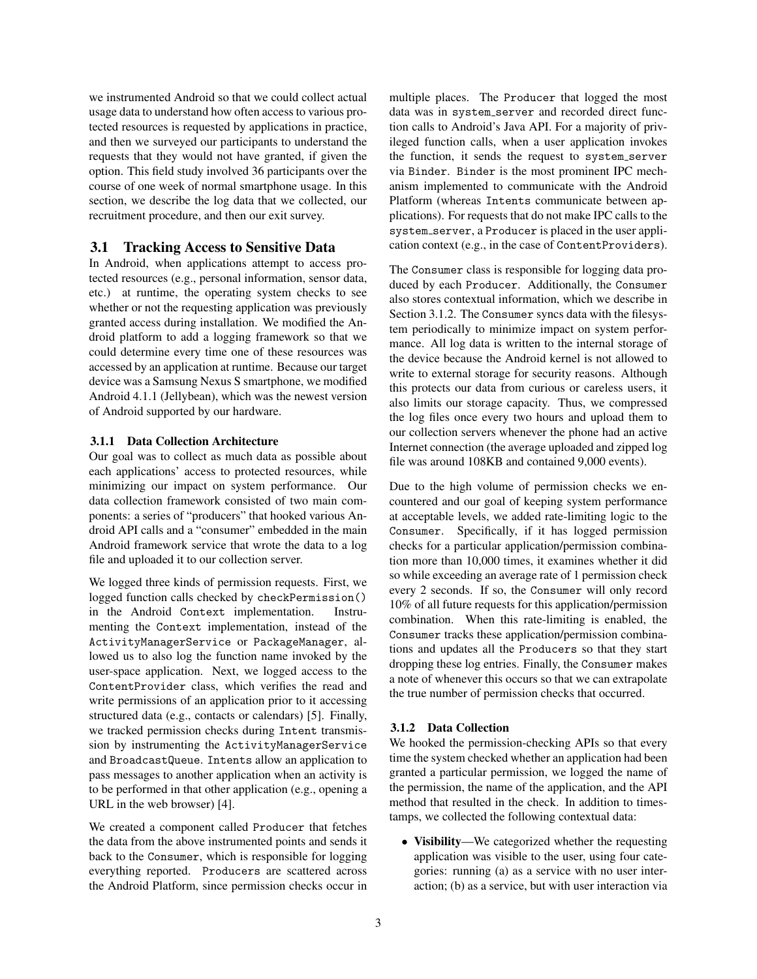we instrumented Android so that we could collect actual usage data to understand how often access to various protected resources is requested by applications in practice, and then we surveyed our participants to understand the requests that they would not have granted, if given the option. This field study involved 36 participants over the course of one week of normal smartphone usage. In this section, we describe the log data that we collected, our recruitment procedure, and then our exit survey.

### 3.1 Tracking Access to Sensitive Data

In Android, when applications attempt to access protected resources (e.g., personal information, sensor data, etc.) at runtime, the operating system checks to see whether or not the requesting application was previously granted access during installation. We modified the Android platform to add a logging framework so that we could determine every time one of these resources was accessed by an application at runtime. Because our target device was a Samsung Nexus S smartphone, we modified Android 4.1.1 (Jellybean), which was the newest version of Android supported by our hardware.

#### 3.1.1 Data Collection Architecture

Our goal was to collect as much data as possible about each applications' access to protected resources, while minimizing our impact on system performance. Our data collection framework consisted of two main components: a series of "producers" that hooked various Android API calls and a "consumer" embedded in the main Android framework service that wrote the data to a log file and uploaded it to our collection server.

We logged three kinds of permission requests. First, we logged function calls checked by checkPermission() in the Android Context implementation. Instrumenting the Context implementation, instead of the ActivityManagerService or PackageManager, allowed us to also log the function name invoked by the user-space application. Next, we logged access to the ContentProvider class, which verifies the read and write permissions of an application prior to it accessing structured data (e.g., contacts or calendars) [5]. Finally, we tracked permission checks during Intent transmission by instrumenting the ActivityManagerService and BroadcastQueue. Intents allow an application to pass messages to another application when an activity is to be performed in that other application (e.g., opening a URL in the web browser) [4].

We created a component called Producer that fetches the data from the above instrumented points and sends it back to the Consumer, which is responsible for logging everything reported. Producers are scattered across the Android Platform, since permission checks occur in multiple places. The Producer that logged the most data was in system\_server and recorded direct function calls to Android's Java API. For a majority of privileged function calls, when a user application invokes the function, it sends the request to system\_server via Binder. Binder is the most prominent IPC mechanism implemented to communicate with the Android Platform (whereas Intents communicate between applications). For requests that do not make IPC calls to the system server, a Producer is placed in the user application context (e.g., in the case of ContentProviders).

The Consumer class is responsible for logging data produced by each Producer. Additionally, the Consumer also stores contextual information, which we describe in Section 3.1.2. The Consumer syncs data with the filesystem periodically to minimize impact on system performance. All log data is written to the internal storage of the device because the Android kernel is not allowed to write to external storage for security reasons. Although this protects our data from curious or careless users, it also limits our storage capacity. Thus, we compressed the log files once every two hours and upload them to our collection servers whenever the phone had an active Internet connection (the average uploaded and zipped log file was around 108KB and contained 9,000 events).

Due to the high volume of permission checks we encountered and our goal of keeping system performance at acceptable levels, we added rate-limiting logic to the Consumer. Specifically, if it has logged permission checks for a particular application/permission combination more than 10,000 times, it examines whether it did so while exceeding an average rate of 1 permission check every 2 seconds. If so, the Consumer will only record 10% of all future requests for this application/permission combination. When this rate-limiting is enabled, the Consumer tracks these application/permission combinations and updates all the Producers so that they start dropping these log entries. Finally, the Consumer makes a note of whenever this occurs so that we can extrapolate the true number of permission checks that occurred.

#### 3.1.2 Data Collection

We hooked the permission-checking APIs so that every time the system checked whether an application had been granted a particular permission, we logged the name of the permission, the name of the application, and the API method that resulted in the check. In addition to timestamps, we collected the following contextual data:

• Visibility—We categorized whether the requesting application was visible to the user, using four categories: running (a) as a service with no user interaction; (b) as a service, but with user interaction via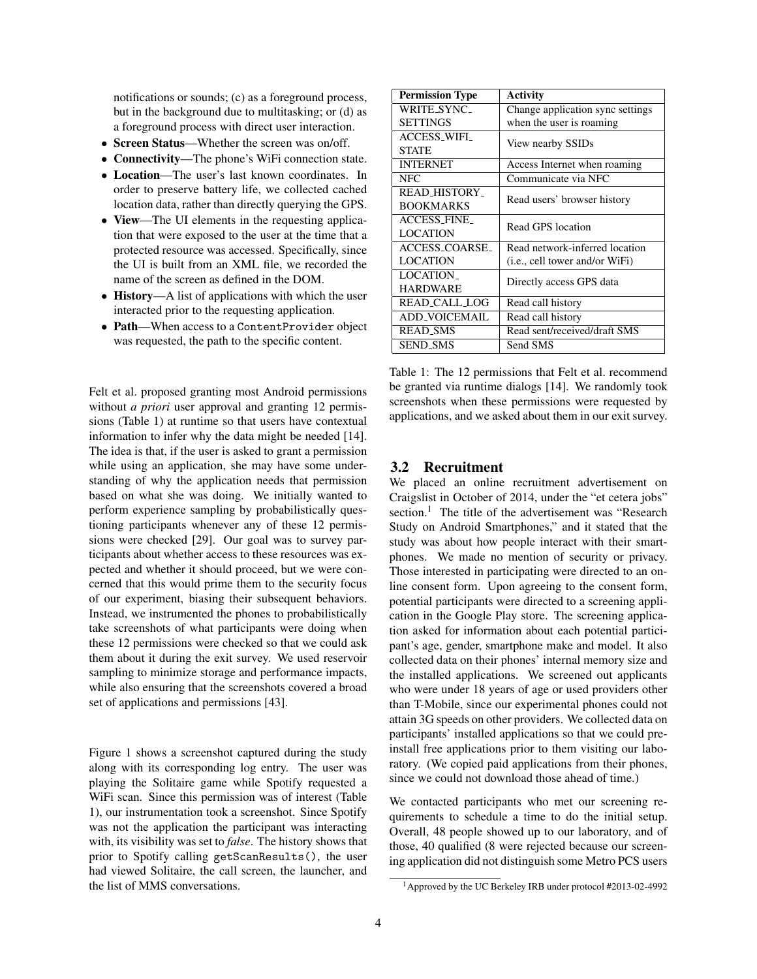notifications or sounds; (c) as a foreground process, but in the background due to multitasking; or (d) as a foreground process with direct user interaction.

- Screen Status—Whether the screen was on/off.
- Connectivity—The phone's WiFi connection state.
- Location—The user's last known coordinates. In order to preserve battery life, we collected cached location data, rather than directly querying the GPS.
- View—The UI elements in the requesting application that were exposed to the user at the time that a protected resource was accessed. Specifically, since the UI is built from an XML file, we recorded the name of the screen as defined in the DOM.
- History—A list of applications with which the user interacted prior to the requesting application.
- Path—When access to a Content Provider object was requested, the path to the specific content.

Felt et al. proposed granting most Android permissions without *a priori* user approval and granting 12 permissions (Table 1) at runtime so that users have contextual information to infer why the data might be needed [14]. The idea is that, if the user is asked to grant a permission while using an application, she may have some understanding of why the application needs that permission based on what she was doing. We initially wanted to perform experience sampling by probabilistically questioning participants whenever any of these 12 permissions were checked [29]. Our goal was to survey participants about whether access to these resources was expected and whether it should proceed, but we were concerned that this would prime them to the security focus of our experiment, biasing their subsequent behaviors. Instead, we instrumented the phones to probabilistically take screenshots of what participants were doing when these 12 permissions were checked so that we could ask them about it during the exit survey. We used reservoir sampling to minimize storage and performance impacts, while also ensuring that the screenshots covered a broad set of applications and permissions [43].

Figure 1 shows a screenshot captured during the study along with its corresponding log entry. The user was playing the Solitaire game while Spotify requested a WiFi scan. Since this permission was of interest (Table 1), our instrumentation took a screenshot. Since Spotify was not the application the participant was interacting with, its visibility was set to *false*. The history shows that prior to Spotify calling getScanResults(), the user had viewed Solitaire, the call screen, the launcher, and the list of MMS conversations.

| <b>Permission Type</b> | Activity                                |  |
|------------------------|-----------------------------------------|--|
| WRITE_SYNC_            | Change application sync settings        |  |
| <b>SETTINGS</b>        | when the user is roaming                |  |
| <b>ACCESS WIFI</b>     |                                         |  |
| <b>STATE</b>           | View nearby SSIDs                       |  |
| <b>INTERNET</b>        | Access Internet when roaming            |  |
| NFC.                   | Communicate via NFC                     |  |
| <b>READ_HISTORY_</b>   | Read users' browser history             |  |
| <b>BOOKMARKS</b>       |                                         |  |
| <b>ACCESS_FINE</b>     | Read GPS location                       |  |
| <b>LOCATION</b>        |                                         |  |
| ACCESS_COARSE_         | Read network-inferred location          |  |
| <b>LOCATION</b>        | ( <i>i.e.</i> , cell tower and/or WiFi) |  |
| <b>LOCATION_</b>       |                                         |  |
| <b>HARDWARE</b>        | Directly access GPS data                |  |
| READ_CALL_LOG          | Read call history                       |  |
| <b>ADD_VOICEMAIL</b>   | Read call history                       |  |
| <b>READ_SMS</b>        | Read sent/received/draft SMS            |  |
| <b>SEND_SMS</b>        | Send SMS                                |  |

Table 1: The 12 permissions that Felt et al. recommend be granted via runtime dialogs [14]. We randomly took screenshots when these permissions were requested by applications, and we asked about them in our exit survey.

#### 3.2 Recruitment

We placed an online recruitment advertisement on Craigslist in October of 2014, under the "et cetera jobs" section.<sup>1</sup> The title of the advertisement was "Research" Study on Android Smartphones," and it stated that the study was about how people interact with their smartphones. We made no mention of security or privacy. Those interested in participating were directed to an online consent form. Upon agreeing to the consent form, potential participants were directed to a screening application in the Google Play store. The screening application asked for information about each potential participant's age, gender, smartphone make and model. It also collected data on their phones' internal memory size and the installed applications. We screened out applicants who were under 18 years of age or used providers other than T-Mobile, since our experimental phones could not attain 3G speeds on other providers. We collected data on participants' installed applications so that we could preinstall free applications prior to them visiting our laboratory. (We copied paid applications from their phones, since we could not download those ahead of time.)

We contacted participants who met our screening requirements to schedule a time to do the initial setup. Overall, 48 people showed up to our laboratory, and of those, 40 qualified (8 were rejected because our screening application did not distinguish some Metro PCS users

<sup>1</sup>Approved by the UC Berkeley IRB under protocol #2013-02-4992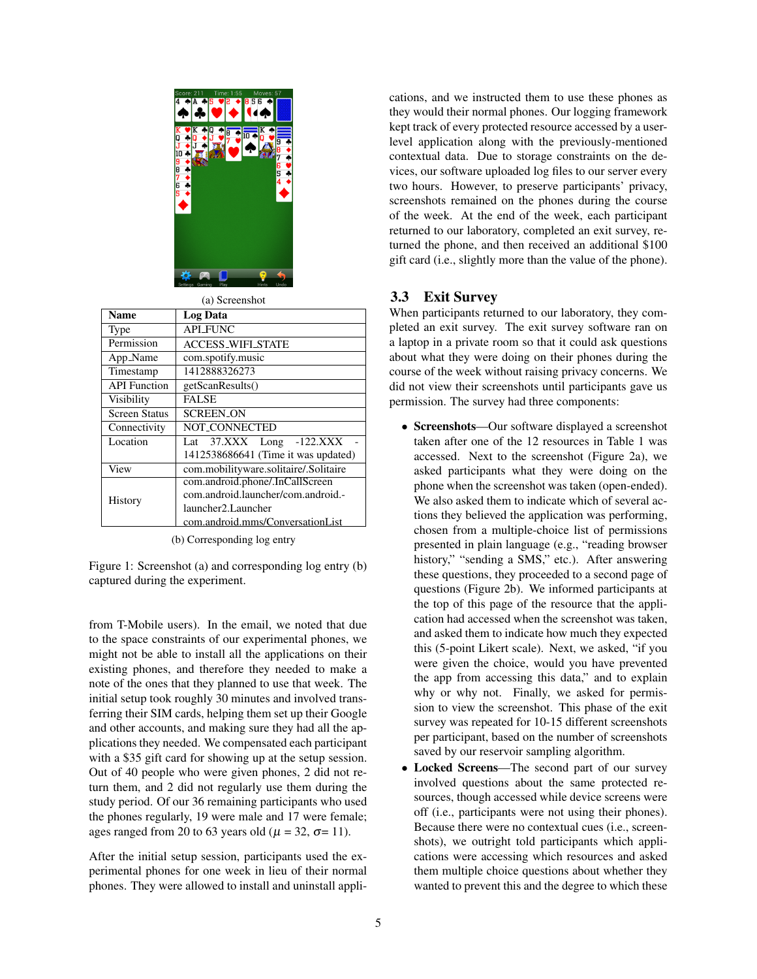

(a) Screenshot

| <b>Name</b>          | <b>Log Data</b>                       |  |  |
|----------------------|---------------------------------------|--|--|
| Type                 | <b>API FUNC</b>                       |  |  |
| Permission           | <b>ACCESS_WIFL STATE</b>              |  |  |
| App_Name             | com.spotify.music                     |  |  |
| Timestamp            | 1412888326273                         |  |  |
| <b>API</b> Function  | getScanResults()                      |  |  |
| Visibility           | <b>FALSE</b>                          |  |  |
| <b>Screen Status</b> | <b>SCREEN ON</b>                      |  |  |
| Connectivity         | <b>NOT CONNECTED</b>                  |  |  |
| Location             | Lat 37.XXX Long -122.XXX              |  |  |
|                      | 1412538686641 (Time it was updated)   |  |  |
| View                 | com.mobilityware.solitaire/.Solitaire |  |  |
|                      | com.android.phone/.InCallScreen       |  |  |
| History              | com.android.launcher/com.android.-    |  |  |
| launcher2.Launcher   |                                       |  |  |
|                      | com.android.mms/ConversationList      |  |  |

(b) Corresponding log entry

Figure 1: Screenshot (a) and corresponding log entry (b) captured during the experiment.

from T-Mobile users). In the email, we noted that due to the space constraints of our experimental phones, we might not be able to install all the applications on their existing phones, and therefore they needed to make a note of the ones that they planned to use that week. The initial setup took roughly 30 minutes and involved transferring their SIM cards, helping them set up their Google and other accounts, and making sure they had all the applications they needed. We compensated each participant with a \$35 gift card for showing up at the setup session. Out of 40 people who were given phones, 2 did not return them, and 2 did not regularly use them during the study period. Of our 36 remaining participants who used the phones regularly, 19 were male and 17 were female; ages ranged from 20 to 63 years old ( $\mu$  = 32,  $\sigma$ = 11).

After the initial setup session, participants used the experimental phones for one week in lieu of their normal phones. They were allowed to install and uninstall applications, and we instructed them to use these phones as they would their normal phones. Our logging framework kept track of every protected resource accessed by a userlevel application along with the previously-mentioned contextual data. Due to storage constraints on the devices, our software uploaded log files to our server every two hours. However, to preserve participants' privacy, screenshots remained on the phones during the course of the week. At the end of the week, each participant returned to our laboratory, completed an exit survey, returned the phone, and then received an additional \$100 gift card (i.e., slightly more than the value of the phone).

# 3.3 Exit Survey

When participants returned to our laboratory, they completed an exit survey. The exit survey software ran on a laptop in a private room so that it could ask questions about what they were doing on their phones during the course of the week without raising privacy concerns. We did not view their screenshots until participants gave us permission. The survey had three components:

- Screenshots—Our software displayed a screenshot taken after one of the 12 resources in Table 1 was accessed. Next to the screenshot (Figure 2a), we asked participants what they were doing on the phone when the screenshot was taken (open-ended). We also asked them to indicate which of several actions they believed the application was performing, chosen from a multiple-choice list of permissions presented in plain language (e.g., "reading browser history," "sending a SMS," etc.). After answering these questions, they proceeded to a second page of questions (Figure 2b). We informed participants at the top of this page of the resource that the application had accessed when the screenshot was taken, and asked them to indicate how much they expected this (5-point Likert scale). Next, we asked, "if you were given the choice, would you have prevented the app from accessing this data," and to explain why or why not. Finally, we asked for permission to view the screenshot. This phase of the exit survey was repeated for 10-15 different screenshots per participant, based on the number of screenshots saved by our reservoir sampling algorithm.
- Locked Screens-The second part of our survey involved questions about the same protected resources, though accessed while device screens were off (i.e., participants were not using their phones). Because there were no contextual cues (i.e., screenshots), we outright told participants which applications were accessing which resources and asked them multiple choice questions about whether they wanted to prevent this and the degree to which these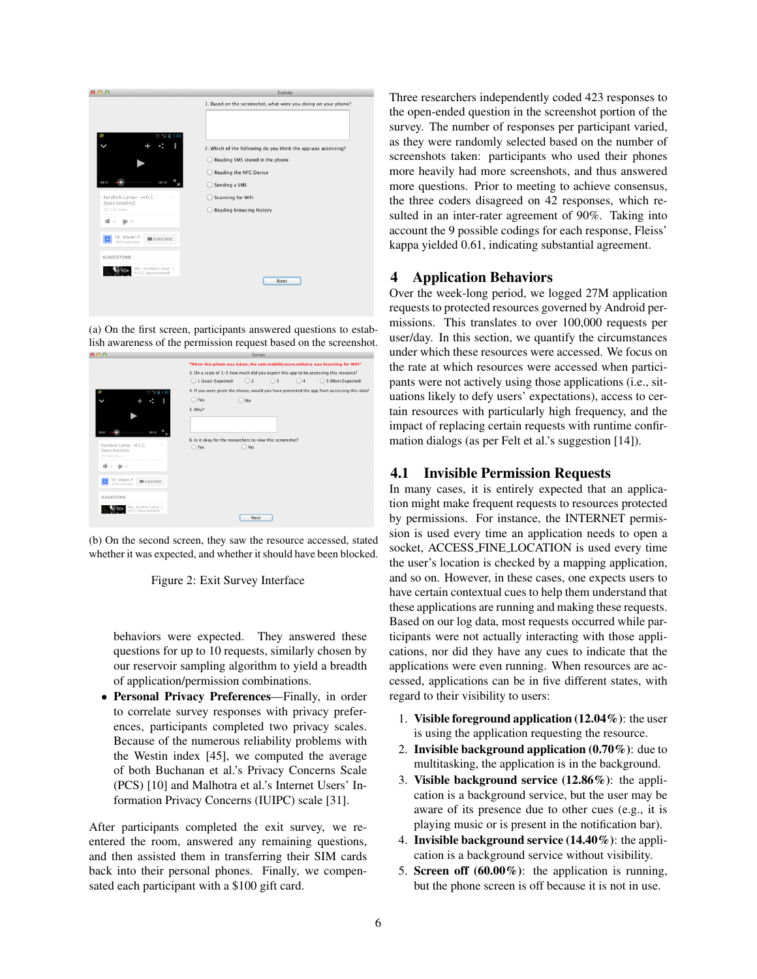

(a) On the first screen, participants answered questions to establish awareness of the permission request based on the screenshot.



(b) On the second screen, they saw the resource accessed, stated whether it was expected, and whether it should have been blocked.



behaviors were expected. They answered these questions for up to 10 requests, similarly chosen by our reservoir sampling algorithm to yield a breadth of application/permission combinations.

• Personal Privacy Preferences—Finally, in order to correlate survey responses with privacy preferences, participants completed two privacy scales. Because of the numerous reliability problems with the Westin index [45], we computed the average of both Buchanan et al.'s Privacy Concerns Scale (PCS) [10] and Malhotra et al.'s Internet Users' Information Privacy Concerns (IUIPC) scale [31].

After participants completed the exit survey, we reentered the room, answered any remaining questions, and then assisted them in transferring their SIM cards back into their personal phones. Finally, we compensated each participant with a \$100 gift card.

Three researchers independently coded 423 responses to the open-ended question in the screenshot portion of the survey. The number of responses per participant varied, as they were randomly selected based on the number of screenshots taken: participants who used their phones more heavily had more screenshots, and thus answered more questions. Prior to meeting to achieve consensus, the three coders disagreed on 42 responses, which resulted in an inter-rater agreement of 90%. Taking into account the 9 possible codings for each response, Fleiss' kappa yielded 0.61, indicating substantial agreement.

# 4 Application Behaviors

Over the week-long period, we logged 27M application requests to protected resources governed by Android permissions. This translates to over 100,000 requests per user/day. In this section, we quantify the circumstances under which these resources were accessed. We focus on the rate at which resources were accessed when participants were not actively using those applications (i.e., situations likely to defy users' expectations), access to certain resources with particularly high frequency, and the impact of replacing certain requests with runtime confirmation dialogs (as per Felt et al.'s suggestion [14]).

# 4.1 Invisible Permission Requests

In many cases, it is entirely expected that an application might make frequent requests to resources protected by permissions. For instance, the INTERNET permission is used every time an application needs to open a socket, ACCESS FINE LOCATION is used every time the user's location is checked by a mapping application, and so on. However, in these cases, one expects users to have certain contextual cues to help them understand that these applications are running and making these requests. Based on our log data, most requests occurred while participants were not actually interacting with those applications, nor did they have any cues to indicate that the applications were even running. When resources are accessed, applications can be in five different states, with regard to their visibility to users:

- 1. Visible foreground application  $(12.04\%)$ : the user is using the application requesting the resource.
- 2. Invisible background application  $(0.70\%)$ : due to multitasking, the application is in the background.
- 3. Visible background service  $(12.86\%)$ : the application is a background service, but the user may be aware of its presence due to other cues (e.g., it is playing music or is present in the notification bar).
- 4. Invisible background service  $(14.40\%)$ : the application is a background service without visibility.
- 5. Screen off  $(60.00\%)$ : the application is running, but the phone screen is off because it is not in use.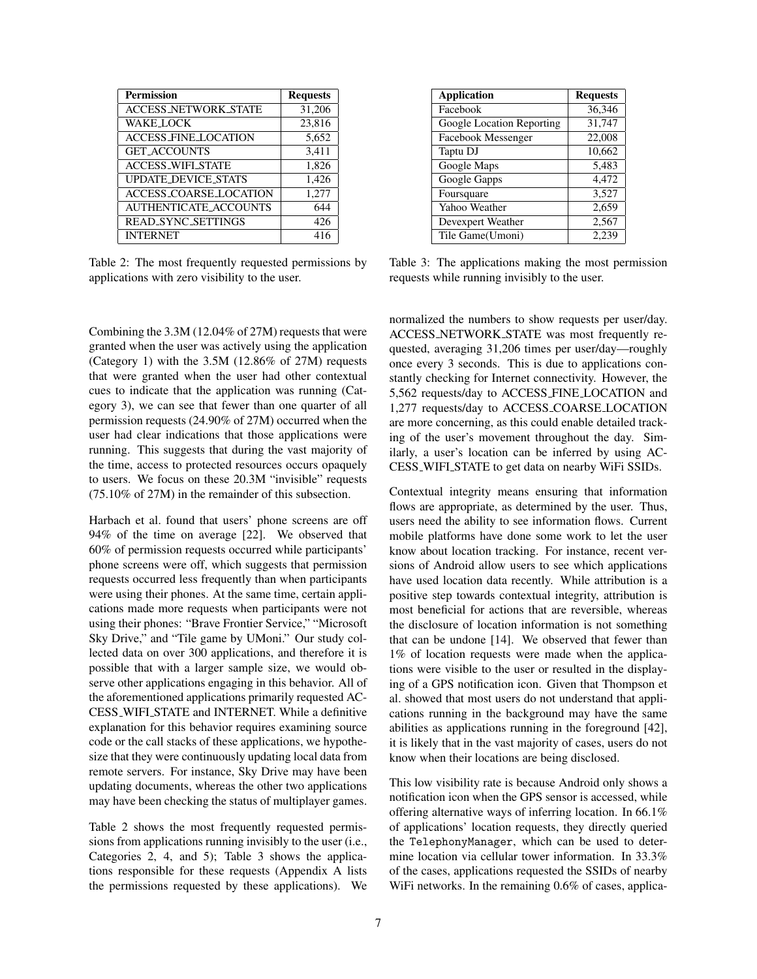| <b>Permission</b>            | <b>Requests</b> |
|------------------------------|-----------------|
| <b>ACCESS_NETWORK_STATE</b>  | 31,206          |
| <b>WAKE LOCK</b>             | 23,816          |
| <b>ACCESS_FINE_LOCATION</b>  | 5,652           |
| <b>GET_ACCOUNTS</b>          | 3,411           |
| <b>ACCESS_WIFL_STATE</b>     | 1,826           |
| <b>UPDATE_DEVICE_STATS</b>   | 1,426           |
| ACCESS_COARSE_LOCATION       | 1,277           |
| <b>AUTHENTICATE_ACCOUNTS</b> | 644             |
| <b>READ_SYNC_SETTINGS</b>    | 426             |
| <b>INTERNET</b>              | 416             |

Table 2: The most frequently requested permissions by applications with zero visibility to the user.

Combining the 3.3M (12.04% of 27M) requests that were granted when the user was actively using the application (Category 1) with the 3.5M (12.86% of 27M) requests that were granted when the user had other contextual cues to indicate that the application was running (Category 3), we can see that fewer than one quarter of all permission requests (24.90% of 27M) occurred when the user had clear indications that those applications were running. This suggests that during the vast majority of the time, access to protected resources occurs opaquely to users. We focus on these 20.3M "invisible" requests (75.10% of 27M) in the remainder of this subsection.

Harbach et al. found that users' phone screens are off 94% of the time on average [22]. We observed that 60% of permission requests occurred while participants' phone screens were off, which suggests that permission requests occurred less frequently than when participants were using their phones. At the same time, certain applications made more requests when participants were not using their phones: "Brave Frontier Service," "Microsoft Sky Drive," and "Tile game by UMoni." Our study collected data on over 300 applications, and therefore it is possible that with a larger sample size, we would observe other applications engaging in this behavior. All of the aforementioned applications primarily requested AC-CESS WIFI STATE and INTERNET. While a definitive explanation for this behavior requires examining source code or the call stacks of these applications, we hypothesize that they were continuously updating local data from remote servers. For instance, Sky Drive may have been updating documents, whereas the other two applications may have been checking the status of multiplayer games.

Table 2 shows the most frequently requested permissions from applications running invisibly to the user (i.e., Categories 2, 4, and 5); Table 3 shows the applications responsible for these requests (Appendix A lists the permissions requested by these applications). We

| <b>Application</b>        | <b>Requests</b> |
|---------------------------|-----------------|
| Facebook                  | 36,346          |
| Google Location Reporting | 31,747          |
| Facebook Messenger        | 22,008          |
| Taptu DJ                  | 10,662          |
| Google Maps               | 5,483           |
| Google Gapps              | 4,472           |
| Foursquare                | 3,527           |
| Yahoo Weather             | 2,659           |
| Devexpert Weather         | 2,567           |
| Tile Game(Umoni)          | 2.239           |

Table 3: The applications making the most permission requests while running invisibly to the user.

normalized the numbers to show requests per user/day. ACCESS NETWORK STATE was most frequently requested, averaging 31,206 times per user/day—roughly once every 3 seconds. This is due to applications constantly checking for Internet connectivity. However, the 5,562 requests/day to ACCESS FINE LOCATION and 1,277 requests/day to ACCESS COARSE LOCATION are more concerning, as this could enable detailed tracking of the user's movement throughout the day. Similarly, a user's location can be inferred by using AC-CESS WIFI STATE to get data on nearby WiFi SSIDs.

Contextual integrity means ensuring that information flows are appropriate, as determined by the user. Thus, users need the ability to see information flows. Current mobile platforms have done some work to let the user know about location tracking. For instance, recent versions of Android allow users to see which applications have used location data recently. While attribution is a positive step towards contextual integrity, attribution is most beneficial for actions that are reversible, whereas the disclosure of location information is not something that can be undone [14]. We observed that fewer than 1% of location requests were made when the applications were visible to the user or resulted in the displaying of a GPS notification icon. Given that Thompson et al. showed that most users do not understand that applications running in the background may have the same abilities as applications running in the foreground [42], it is likely that in the vast majority of cases, users do not know when their locations are being disclosed.

This low visibility rate is because Android only shows a notification icon when the GPS sensor is accessed, while offering alternative ways of inferring location. In 66.1% of applications' location requests, they directly queried the TelephonyManager, which can be used to determine location via cellular tower information. In 33.3% of the cases, applications requested the SSIDs of nearby WiFi networks. In the remaining 0.6% of cases, applica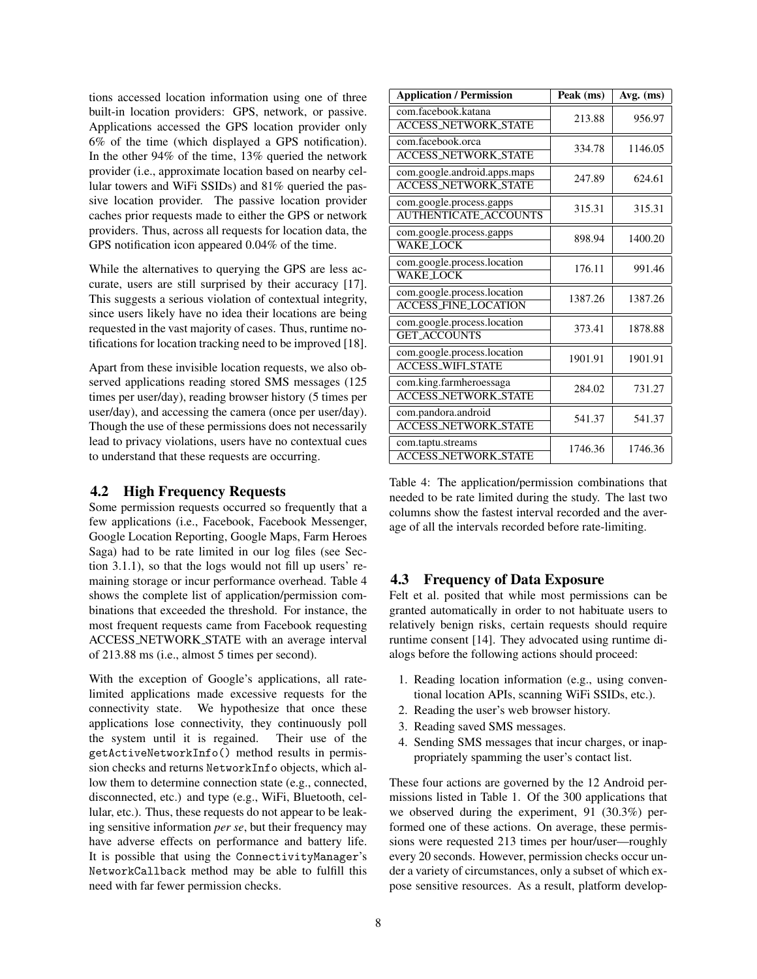tions accessed location information using one of three built-in location providers: GPS, network, or passive. Applications accessed the GPS location provider only 6% of the time (which displayed a GPS notification). In the other 94% of the time, 13% queried the network provider (i.e., approximate location based on nearby cellular towers and WiFi SSIDs) and 81% queried the passive location provider. The passive location provider caches prior requests made to either the GPS or network providers. Thus, across all requests for location data, the GPS notification icon appeared 0.04% of the time.

While the alternatives to querying the GPS are less accurate, users are still surprised by their accuracy [17]. This suggests a serious violation of contextual integrity, since users likely have no idea their locations are being requested in the vast majority of cases. Thus, runtime notifications for location tracking need to be improved [18].

Apart from these invisible location requests, we also observed applications reading stored SMS messages (125 times per user/day), reading browser history (5 times per user/day), and accessing the camera (once per user/day). Though the use of these permissions does not necessarily lead to privacy violations, users have no contextual cues to understand that these requests are occurring.

### 4.2 High Frequency Requests

Some permission requests occurred so frequently that a few applications (i.e., Facebook, Facebook Messenger, Google Location Reporting, Google Maps, Farm Heroes Saga) had to be rate limited in our log files (see Section 3.1.1), so that the logs would not fill up users' remaining storage or incur performance overhead. Table 4 shows the complete list of application/permission combinations that exceeded the threshold. For instance, the most frequent requests came from Facebook requesting ACCESS NETWORK STATE with an average interval of 213.88 ms (i.e., almost 5 times per second).

With the exception of Google's applications, all ratelimited applications made excessive requests for the connectivity state. We hypothesize that once these applications lose connectivity, they continuously poll the system until it is regained. Their use of the getActiveNetworkInfo() method results in permission checks and returns NetworkInfo objects, which allow them to determine connection state (e.g., connected, disconnected, etc.) and type (e.g., WiFi, Bluetooth, cellular, etc.). Thus, these requests do not appear to be leaking sensitive information *per se*, but their frequency may have adverse effects on performance and battery life. It is possible that using the ConnectivityManager's NetworkCallback method may be able to fulfill this need with far fewer permission checks.

| <b>Application / Permission</b>                             | Peak (ms) | Avg. (ms) |
|-------------------------------------------------------------|-----------|-----------|
| com.facebook.katana<br><b>ACCESS_NETWORK_STATE</b>          | 213.88    | 956.97    |
| com.facebook.orca<br><b>ACCESS_NETWORK_STATE</b>            | 334.78    | 1146.05   |
| com.google.android.apps.maps<br><b>ACCESS_NETWORK_STATE</b> | 247.89    | 624.61    |
| com.google.process.gapps<br><b>AUTHENTICATE_ACCOUNTS</b>    | 315.31    | 315.31    |
| com.google.process.gapps<br><b>WAKE_LOCK</b>                | 898.94    | 1400.20   |
| com.google.process.location<br><b>WAKE LOCK</b>             | 176.11    | 991.46    |
| com.google.process.location<br><b>ACCESS_FINE_LOCATION</b>  | 1387.26   | 1387.26   |
| com.google.process.location<br><b>GET_ACCOUNTS</b>          | 373.41    | 1878.88   |
| com.google.process.location<br><b>ACCESS_WIFL_STATE</b>     | 1901.91   | 1901.91   |
| com.king.farmheroessaga<br><b>ACCESS_NETWORK_STATE</b>      | 284.02    | 731.27    |
| com.pandora.android<br><b>ACCESS_NETWORK_STATE</b>          | 541.37    | 541.37    |
| com.taptu.streams<br><b>ACCESS_NETWORK_STATE</b>            | 1746.36   | 1746.36   |

Table 4: The application/permission combinations that needed to be rate limited during the study. The last two columns show the fastest interval recorded and the average of all the intervals recorded before rate-limiting.

### 4.3 Frequency of Data Exposure

Felt et al. posited that while most permissions can be granted automatically in order to not habituate users to relatively benign risks, certain requests should require runtime consent [14]. They advocated using runtime dialogs before the following actions should proceed:

- 1. Reading location information (e.g., using conventional location APIs, scanning WiFi SSIDs, etc.).
- 2. Reading the user's web browser history.
- 3. Reading saved SMS messages.
- 4. Sending SMS messages that incur charges, or inappropriately spamming the user's contact list.

These four actions are governed by the 12 Android permissions listed in Table 1. Of the 300 applications that we observed during the experiment, 91 (30.3%) performed one of these actions. On average, these permissions were requested 213 times per hour/user—roughly every 20 seconds. However, permission checks occur under a variety of circumstances, only a subset of which expose sensitive resources. As a result, platform develop-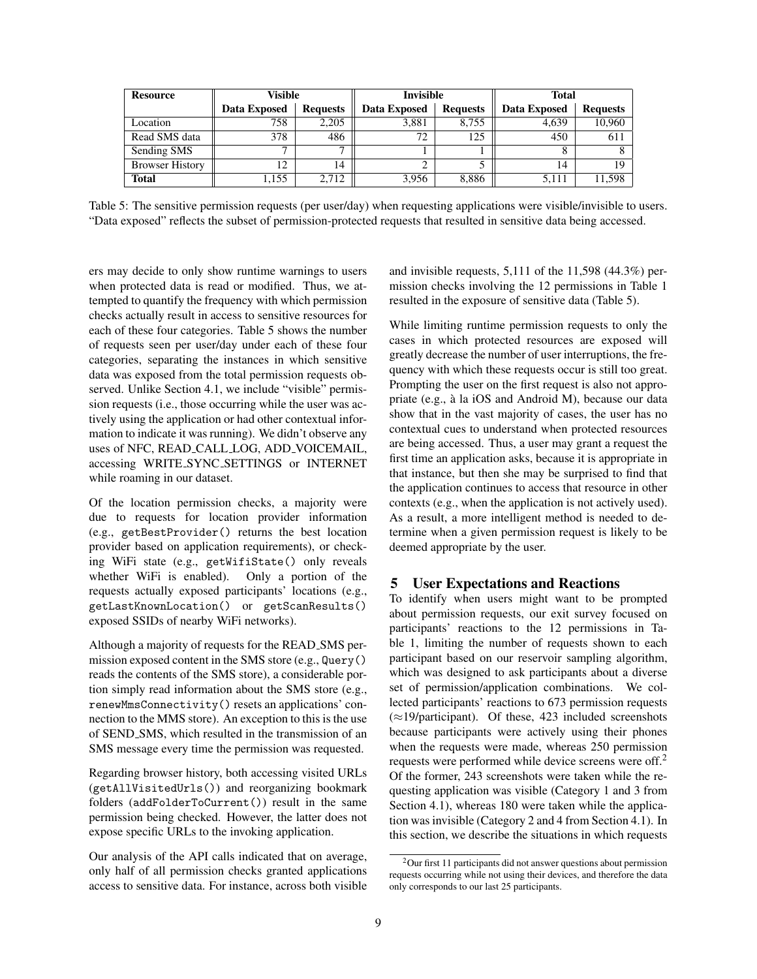| Resource               | Visible      |                 | <b>Invisible</b> |                 | Total        |                 |
|------------------------|--------------|-----------------|------------------|-----------------|--------------|-----------------|
|                        | Data Exposed | <b>Requests</b> | Data Exposed     | <b>Requests</b> | Data Exposed | <b>Requests</b> |
| Location               | 758          | 2.205           | 3,881            | 8.755           | 4.639        | 10,960          |
| Read SMS data          | 378          | 486             | 72               | 125             | 450          | 611             |
| Sending SMS            |              | -               |                  |                 |              |                 |
| <b>Browser History</b> | 12           | 14              | 2                |                 | 14           | 19              |
| <b>Total</b>           | 1,155        | 2.712           | 3.956            | 8.886           | 5.111        | 11,598          |

Table 5: The sensitive permission requests (per user/day) when requesting applications were visible/invisible to users. "Data exposed" reflects the subset of permission-protected requests that resulted in sensitive data being accessed.

ers may decide to only show runtime warnings to users when protected data is read or modified. Thus, we attempted to quantify the frequency with which permission checks actually result in access to sensitive resources for each of these four categories. Table 5 shows the number of requests seen per user/day under each of these four categories, separating the instances in which sensitive data was exposed from the total permission requests observed. Unlike Section 4.1, we include "visible" permission requests (i.e., those occurring while the user was actively using the application or had other contextual information to indicate it was running). We didn't observe any uses of NFC, READ CALL LOG, ADD VOICEMAIL, accessing WRITE SYNC SETTINGS or INTERNET while roaming in our dataset.

Of the location permission checks, a majority were due to requests for location provider information (e.g., getBestProvider() returns the best location provider based on application requirements), or checking WiFi state (e.g., getWifiState() only reveals whether WiFi is enabled). Only a portion of the requests actually exposed participants' locations (e.g., getLastKnownLocation() or getScanResults() exposed SSIDs of nearby WiFi networks).

Although a majority of requests for the READ SMS permission exposed content in the SMS store (e.g., Query() reads the contents of the SMS store), a considerable portion simply read information about the SMS store (e.g., renewMmsConnectivity() resets an applications' connection to the MMS store). An exception to this is the use of SEND SMS, which resulted in the transmission of an SMS message every time the permission was requested.

Regarding browser history, both accessing visited URLs (getAllVisitedUrls()) and reorganizing bookmark folders (addFolderToCurrent()) result in the same permission being checked. However, the latter does not expose specific URLs to the invoking application.

Our analysis of the API calls indicated that on average, only half of all permission checks granted applications access to sensitive data. For instance, across both visible and invisible requests, 5,111 of the 11,598 (44.3%) permission checks involving the 12 permissions in Table 1 resulted in the exposure of sensitive data (Table 5).

While limiting runtime permission requests to only the cases in which protected resources are exposed will greatly decrease the number of user interruptions, the frequency with which these requests occur is still too great. Prompting the user on the first request is also not appropriate (e.g., à la iOS and Android M), because our data show that in the vast majority of cases, the user has no contextual cues to understand when protected resources are being accessed. Thus, a user may grant a request the first time an application asks, because it is appropriate in that instance, but then she may be surprised to find that the application continues to access that resource in other contexts (e.g., when the application is not actively used). As a result, a more intelligent method is needed to determine when a given permission request is likely to be deemed appropriate by the user.

# 5 User Expectations and Reactions

To identify when users might want to be prompted about permission requests, our exit survey focused on participants' reactions to the 12 permissions in Table 1, limiting the number of requests shown to each participant based on our reservoir sampling algorithm, which was designed to ask participants about a diverse set of permission/application combinations. We collected participants' reactions to 673 permission requests  $(\approx 19$ /participant). Of these, 423 included screenshots because participants were actively using their phones when the requests were made, whereas 250 permission requests were performed while device screens were off.<sup>2</sup> Of the former, 243 screenshots were taken while the requesting application was visible (Category 1 and 3 from Section 4.1), whereas 180 were taken while the application was invisible (Category 2 and 4 from Section 4.1). In this section, we describe the situations in which requests

<sup>2</sup>Our first 11 participants did not answer questions about permission requests occurring while not using their devices, and therefore the data only corresponds to our last 25 participants.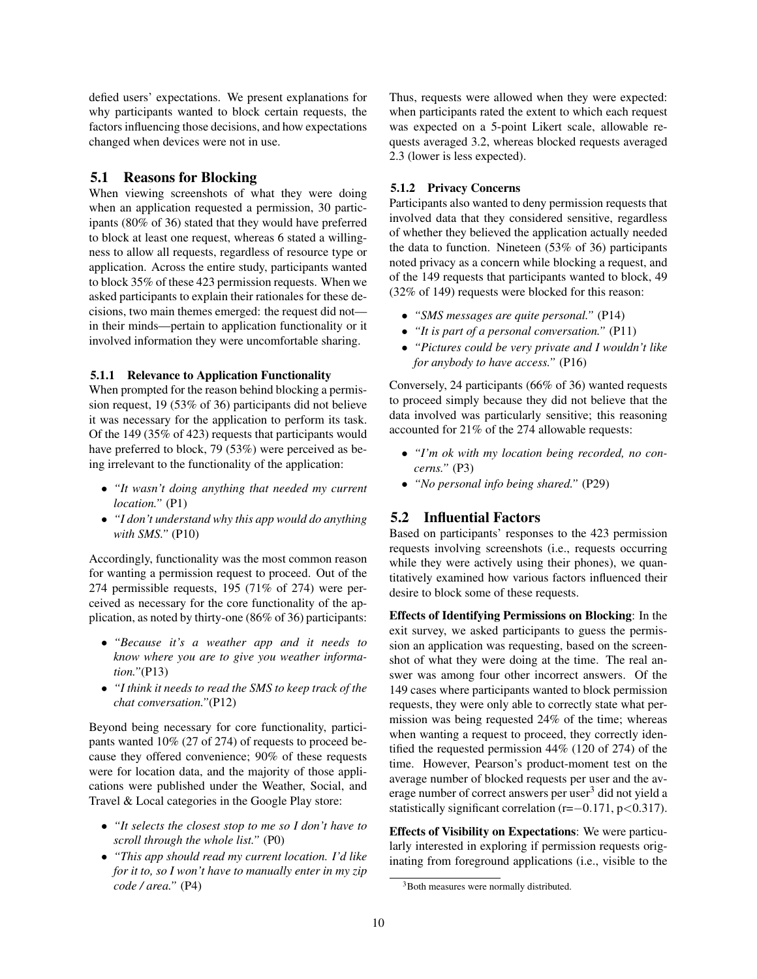defied users' expectations. We present explanations for why participants wanted to block certain requests, the factors influencing those decisions, and how expectations changed when devices were not in use.

### 5.1 Reasons for Blocking

When viewing screenshots of what they were doing when an application requested a permission, 30 participants (80% of 36) stated that they would have preferred to block at least one request, whereas 6 stated a willingness to allow all requests, regardless of resource type or application. Across the entire study, participants wanted to block 35% of these 423 permission requests. When we asked participants to explain their rationales for these decisions, two main themes emerged: the request did not in their minds—pertain to application functionality or it involved information they were uncomfortable sharing.

#### 5.1.1 Relevance to Application Functionality

When prompted for the reason behind blocking a permission request, 19 (53% of 36) participants did not believe it was necessary for the application to perform its task. Of the 149 (35% of 423) requests that participants would have preferred to block, 79 (53%) were perceived as being irrelevant to the functionality of the application:

- *"It wasn't doing anything that needed my current location."* (P1)
- *"I don't understand why this app would do anything with SMS."* (P10)

Accordingly, functionality was the most common reason for wanting a permission request to proceed. Out of the 274 permissible requests, 195 (71% of 274) were perceived as necessary for the core functionality of the application, as noted by thirty-one (86% of 36) participants:

- *"Because it's a weather app and it needs to know where you are to give you weather information."*(P13)
- *"I think it needs to read the SMS to keep track of the chat conversation."*(P12)

Beyond being necessary for core functionality, participants wanted 10% (27 of 274) of requests to proceed because they offered convenience; 90% of these requests were for location data, and the majority of those applications were published under the Weather, Social, and Travel & Local categories in the Google Play store:

- *"It selects the closest stop to me so I don't have to scroll through the whole list."* (P0)
- *"This app should read my current location. I'd like for it to, so I won't have to manually enter in my zip code / area."* (P4)

Thus, requests were allowed when they were expected: when participants rated the extent to which each request was expected on a 5-point Likert scale, allowable requests averaged 3.2, whereas blocked requests averaged 2.3 (lower is less expected).

#### 5.1.2 Privacy Concerns

Participants also wanted to deny permission requests that involved data that they considered sensitive, regardless of whether they believed the application actually needed the data to function. Nineteen (53% of 36) participants noted privacy as a concern while blocking a request, and of the 149 requests that participants wanted to block, 49 (32% of 149) requests were blocked for this reason:

- *"SMS messages are quite personal."* (P14)
- *"It is part of a personal conversation."* (P11)
- *"Pictures could be very private and I wouldn't like for anybody to have access."* (P16)

Conversely, 24 participants (66% of 36) wanted requests to proceed simply because they did not believe that the data involved was particularly sensitive; this reasoning accounted for 21% of the 274 allowable requests:

- *"I'm ok with my location being recorded, no concerns."* (P3)
- *"No personal info being shared."* (P29)

# 5.2 Influential Factors

Based on participants' responses to the 423 permission requests involving screenshots (i.e., requests occurring while they were actively using their phones), we quantitatively examined how various factors influenced their desire to block some of these requests.

Effects of Identifying Permissions on Blocking: In the exit survey, we asked participants to guess the permission an application was requesting, based on the screenshot of what they were doing at the time. The real answer was among four other incorrect answers. Of the 149 cases where participants wanted to block permission requests, they were only able to correctly state what permission was being requested 24% of the time; whereas when wanting a request to proceed, they correctly identified the requested permission 44% (120 of 274) of the time. However, Pearson's product-moment test on the average number of blocked requests per user and the average number of correct answers per user $3$  did not yield a statistically significant correlation (r=−0.171, p<0.317).

Effects of Visibility on Expectations: We were particularly interested in exploring if permission requests originating from foreground applications (i.e., visible to the

<sup>&</sup>lt;sup>3</sup>Both measures were normally distributed.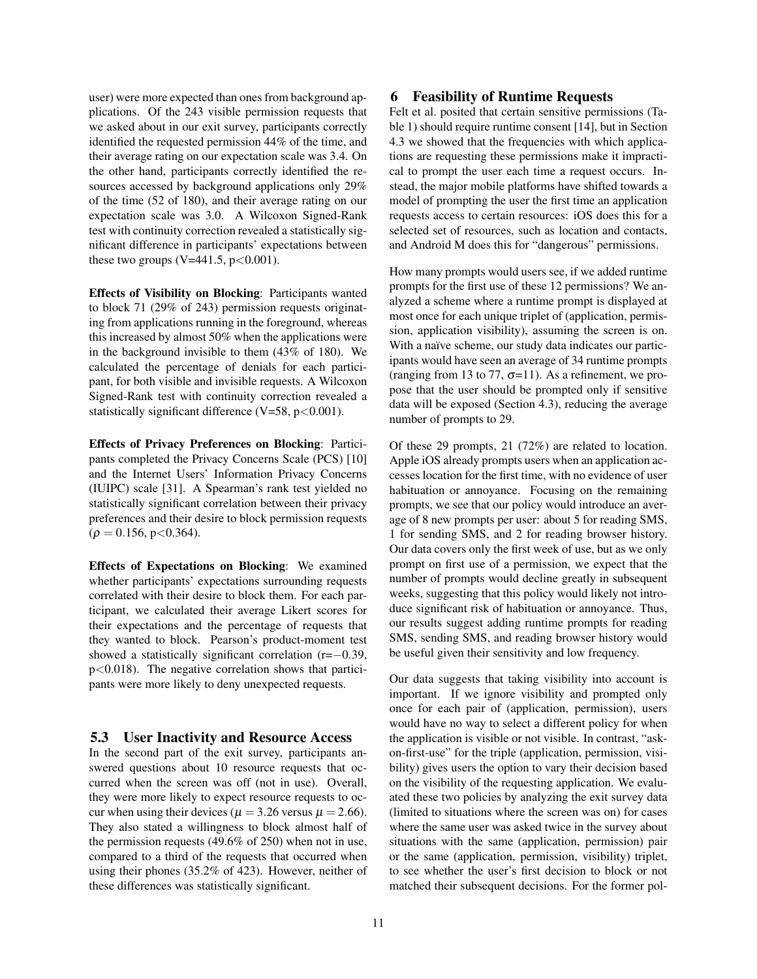user) were more expected than ones from background applications. Of the 243 visible permission requests that we asked about in our exit survey, participants correctly identified the requested permission 44% of the time, and their average rating on our expectation scale was 3.4. On the other hand, participants correctly identified the resources accessed by background applications only 29% of the time (52 of 180), and their average rating on our expectation scale was 3.0. A Wilcoxon Signed-Rank test with continuity correction revealed a statistically significant difference in participants' expectations between these two groups (V=441.5,  $p < 0.001$ ).

Effects of Visibility on Blocking: Participants wanted to block 71 (29% of 243) permission requests originating from applications running in the foreground, whereas this increased by almost 50% when the applications were in the background invisible to them (43% of 180). We calculated the percentage of denials for each participant, for both visible and invisible requests. A Wilcoxon Signed-Rank test with continuity correction revealed a statistically significant difference  $(V=58, p<0.001)$ .

Effects of Privacy Preferences on Blocking: Participants completed the Privacy Concerns Scale (PCS) [10] and the Internet Users' Information Privacy Concerns (IUIPC) scale [31]. A Spearman's rank test yielded no statistically significant correlation between their privacy preferences and their desire to block permission requests  $(\rho = 0.156, p < 0.364).$ 

Effects of Expectations on Blocking: We examined whether participants' expectations surrounding requests correlated with their desire to block them. For each participant, we calculated their average Likert scores for their expectations and the percentage of requests that they wanted to block. Pearson's product-moment test showed a statistically significant correlation (r=−0.39,  $p<0.018$ ). The negative correlation shows that participants were more likely to deny unexpected requests.

### 5.3 User Inactivity and Resource Access

In the second part of the exit survey, participants answered questions about 10 resource requests that occurred when the screen was off (not in use). Overall, they were more likely to expect resource requests to occur when using their devices ( $\mu = 3.26$  versus  $\mu = 2.66$ ). They also stated a willingness to block almost half of the permission requests (49.6% of 250) when not in use, compared to a third of the requests that occurred when using their phones (35.2% of 423). However, neither of these differences was statistically significant.

# 6 Feasibility of Runtime Requests

Felt et al. posited that certain sensitive permissions (Table 1) should require runtime consent [14], but in Section 4.3 we showed that the frequencies with which applications are requesting these permissions make it impractical to prompt the user each time a request occurs. Instead, the major mobile platforms have shifted towards a model of prompting the user the first time an application requests access to certain resources: iOS does this for a selected set of resources, such as location and contacts, and Android M does this for "dangerous" permissions.

How many prompts would users see, if we added runtime prompts for the first use of these 12 permissions? We analyzed a scheme where a runtime prompt is displayed at most once for each unique triplet of (application, permission, application visibility), assuming the screen is on. With a naïve scheme, our study data indicates our participants would have seen an average of 34 runtime prompts (ranging from 13 to 77,  $\sigma$ =11). As a refinement, we propose that the user should be prompted only if sensitive data will be exposed (Section 4.3), reducing the average number of prompts to 29.

Of these 29 prompts, 21 (72%) are related to location. Apple iOS already prompts users when an application accesses location for the first time, with no evidence of user habituation or annoyance. Focusing on the remaining prompts, we see that our policy would introduce an average of 8 new prompts per user: about 5 for reading SMS, 1 for sending SMS, and 2 for reading browser history. Our data covers only the first week of use, but as we only prompt on first use of a permission, we expect that the number of prompts would decline greatly in subsequent weeks, suggesting that this policy would likely not introduce significant risk of habituation or annoyance. Thus, our results suggest adding runtime prompts for reading SMS, sending SMS, and reading browser history would be useful given their sensitivity and low frequency.

Our data suggests that taking visibility into account is important. If we ignore visibility and prompted only once for each pair of (application, permission), users would have no way to select a different policy for when the application is visible or not visible. In contrast, "askon-first-use" for the triple (application, permission, visibility) gives users the option to vary their decision based on the visibility of the requesting application. We evaluated these two policies by analyzing the exit survey data (limited to situations where the screen was on) for cases where the same user was asked twice in the survey about situations with the same (application, permission) pair or the same (application, permission, visibility) triplet, to see whether the user's first decision to block or not matched their subsequent decisions. For the former pol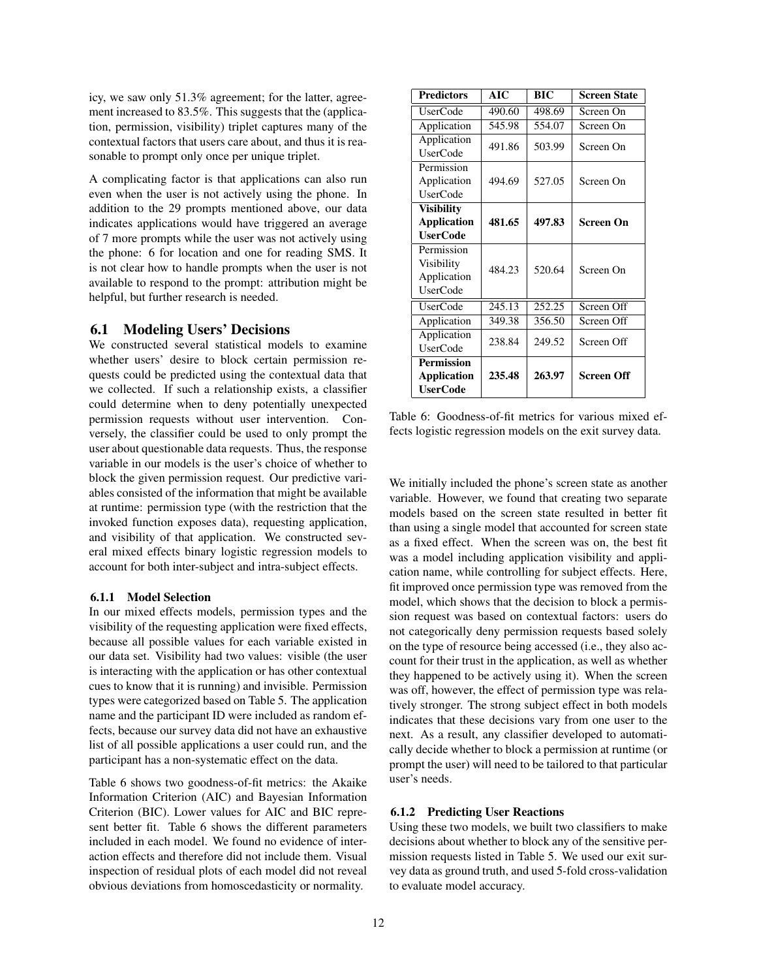icy, we saw only 51.3% agreement; for the latter, agreement increased to 83.5%. This suggests that the (application, permission, visibility) triplet captures many of the contextual factors that users care about, and thus it is reasonable to prompt only once per unique triplet.

A complicating factor is that applications can also run even when the user is not actively using the phone. In addition to the 29 prompts mentioned above, our data indicates applications would have triggered an average of 7 more prompts while the user was not actively using the phone: 6 for location and one for reading SMS. It is not clear how to handle prompts when the user is not available to respond to the prompt: attribution might be helpful, but further research is needed.

#### 6.1 Modeling Users' Decisions

We constructed several statistical models to examine whether users' desire to block certain permission requests could be predicted using the contextual data that we collected. If such a relationship exists, a classifier could determine when to deny potentially unexpected permission requests without user intervention. Conversely, the classifier could be used to only prompt the user about questionable data requests. Thus, the response variable in our models is the user's choice of whether to block the given permission request. Our predictive variables consisted of the information that might be available at runtime: permission type (with the restriction that the invoked function exposes data), requesting application, and visibility of that application. We constructed several mixed effects binary logistic regression models to account for both inter-subject and intra-subject effects.

#### 6.1.1 Model Selection

In our mixed effects models, permission types and the visibility of the requesting application were fixed effects, because all possible values for each variable existed in our data set. Visibility had two values: visible (the user is interacting with the application or has other contextual cues to know that it is running) and invisible. Permission types were categorized based on Table 5. The application name and the participant ID were included as random effects, because our survey data did not have an exhaustive list of all possible applications a user could run, and the participant has a non-systematic effect on the data.

Table 6 shows two goodness-of-fit metrics: the Akaike Information Criterion (AIC) and Bayesian Information Criterion (BIC). Lower values for AIC and BIC represent better fit. Table 6 shows the different parameters included in each model. We found no evidence of interaction effects and therefore did not include them. Visual inspection of residual plots of each model did not reveal obvious deviations from homoscedasticity or normality.

| <b>Predictors</b>  | AIC    | BIC    | <b>Screen State</b> |
|--------------------|--------|--------|---------------------|
| <b>UserCode</b>    | 490.60 | 498.69 | Screen On           |
| Application        | 545.98 | 554.07 | Screen On           |
| Application        | 491.86 | 503.99 | Screen On           |
| <b>UserCode</b>    |        |        |                     |
| Permission         |        |        |                     |
| Application        | 494.69 | 527.05 | Screen On           |
| <b>UserCode</b>    |        |        |                     |
| <b>Visibility</b>  |        |        |                     |
| <b>Application</b> | 481.65 | 497.83 | Screen On           |
| <b>UserCode</b>    |        |        |                     |
| Permission         |        |        |                     |
| Visibility         | 484.23 | 520.64 | Screen On           |
| Application        |        |        |                     |
| <b>UserCode</b>    |        |        |                     |
| <b>UserCode</b>    | 245.13 | 252.25 | Screen Off          |
| Application        | 349.38 | 356.50 | Screen Off          |
| Application        | 238.84 | 249.52 | Screen Off          |
| <b>UserCode</b>    |        |        |                     |
| <b>Permission</b>  |        |        |                     |
| <b>Application</b> | 235.48 | 263.97 | Screen Off          |
| <b>UserCode</b>    |        |        |                     |

Table 6: Goodness-of-fit metrics for various mixed effects logistic regression models on the exit survey data.

We initially included the phone's screen state as another variable. However, we found that creating two separate models based on the screen state resulted in better fit than using a single model that accounted for screen state as a fixed effect. When the screen was on, the best fit was a model including application visibility and application name, while controlling for subject effects. Here, fit improved once permission type was removed from the model, which shows that the decision to block a permission request was based on contextual factors: users do not categorically deny permission requests based solely on the type of resource being accessed (i.e., they also account for their trust in the application, as well as whether they happened to be actively using it). When the screen was off, however, the effect of permission type was relatively stronger. The strong subject effect in both models indicates that these decisions vary from one user to the next. As a result, any classifier developed to automatically decide whether to block a permission at runtime (or prompt the user) will need to be tailored to that particular user's needs.

#### 6.1.2 Predicting User Reactions

Using these two models, we built two classifiers to make decisions about whether to block any of the sensitive permission requests listed in Table 5. We used our exit survey data as ground truth, and used 5-fold cross-validation to evaluate model accuracy.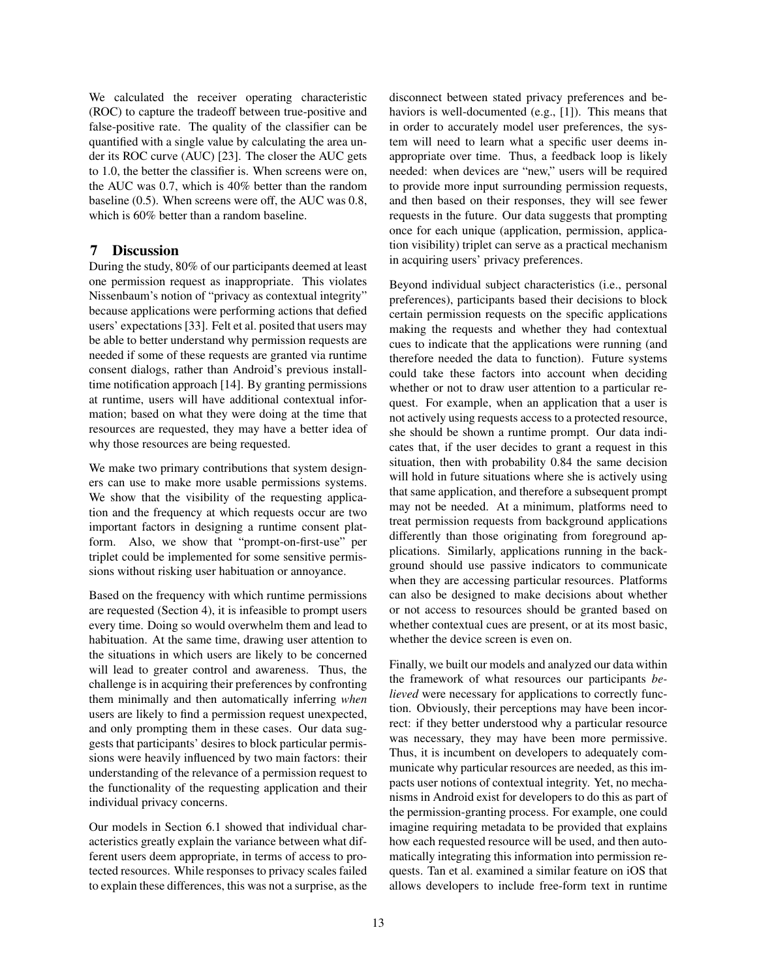We calculated the receiver operating characteristic (ROC) to capture the tradeoff between true-positive and false-positive rate. The quality of the classifier can be quantified with a single value by calculating the area under its ROC curve (AUC) [23]. The closer the AUC gets to 1.0, the better the classifier is. When screens were on, the AUC was 0.7, which is 40% better than the random baseline (0.5). When screens were off, the AUC was 0.8, which is  $60\%$  better than a random baseline.

# 7 Discussion

During the study, 80% of our participants deemed at least one permission request as inappropriate. This violates Nissenbaum's notion of "privacy as contextual integrity" because applications were performing actions that defied users' expectations [33]. Felt et al. posited that users may be able to better understand why permission requests are needed if some of these requests are granted via runtime consent dialogs, rather than Android's previous installtime notification approach [14]. By granting permissions at runtime, users will have additional contextual information; based on what they were doing at the time that resources are requested, they may have a better idea of why those resources are being requested.

We make two primary contributions that system designers can use to make more usable permissions systems. We show that the visibility of the requesting application and the frequency at which requests occur are two important factors in designing a runtime consent platform. Also, we show that "prompt-on-first-use" per triplet could be implemented for some sensitive permissions without risking user habituation or annoyance.

Based on the frequency with which runtime permissions are requested (Section 4), it is infeasible to prompt users every time. Doing so would overwhelm them and lead to habituation. At the same time, drawing user attention to the situations in which users are likely to be concerned will lead to greater control and awareness. Thus, the challenge is in acquiring their preferences by confronting them minimally and then automatically inferring *when* users are likely to find a permission request unexpected, and only prompting them in these cases. Our data suggests that participants' desires to block particular permissions were heavily influenced by two main factors: their understanding of the relevance of a permission request to the functionality of the requesting application and their individual privacy concerns.

Our models in Section 6.1 showed that individual characteristics greatly explain the variance between what different users deem appropriate, in terms of access to protected resources. While responses to privacy scales failed to explain these differences, this was not a surprise, as the disconnect between stated privacy preferences and behaviors is well-documented (e.g., [1]). This means that in order to accurately model user preferences, the system will need to learn what a specific user deems inappropriate over time. Thus, a feedback loop is likely needed: when devices are "new," users will be required to provide more input surrounding permission requests, and then based on their responses, they will see fewer requests in the future. Our data suggests that prompting once for each unique (application, permission, application visibility) triplet can serve as a practical mechanism in acquiring users' privacy preferences.

Beyond individual subject characteristics (i.e., personal preferences), participants based their decisions to block certain permission requests on the specific applications making the requests and whether they had contextual cues to indicate that the applications were running (and therefore needed the data to function). Future systems could take these factors into account when deciding whether or not to draw user attention to a particular request. For example, when an application that a user is not actively using requests access to a protected resource, she should be shown a runtime prompt. Our data indicates that, if the user decides to grant a request in this situation, then with probability 0.84 the same decision will hold in future situations where she is actively using that same application, and therefore a subsequent prompt may not be needed. At a minimum, platforms need to treat permission requests from background applications differently than those originating from foreground applications. Similarly, applications running in the background should use passive indicators to communicate when they are accessing particular resources. Platforms can also be designed to make decisions about whether or not access to resources should be granted based on whether contextual cues are present, or at its most basic, whether the device screen is even on.

Finally, we built our models and analyzed our data within the framework of what resources our participants *believed* were necessary for applications to correctly function. Obviously, their perceptions may have been incorrect: if they better understood why a particular resource was necessary, they may have been more permissive. Thus, it is incumbent on developers to adequately communicate why particular resources are needed, as this impacts user notions of contextual integrity. Yet, no mechanisms in Android exist for developers to do this as part of the permission-granting process. For example, one could imagine requiring metadata to be provided that explains how each requested resource will be used, and then automatically integrating this information into permission requests. Tan et al. examined a similar feature on iOS that allows developers to include free-form text in runtime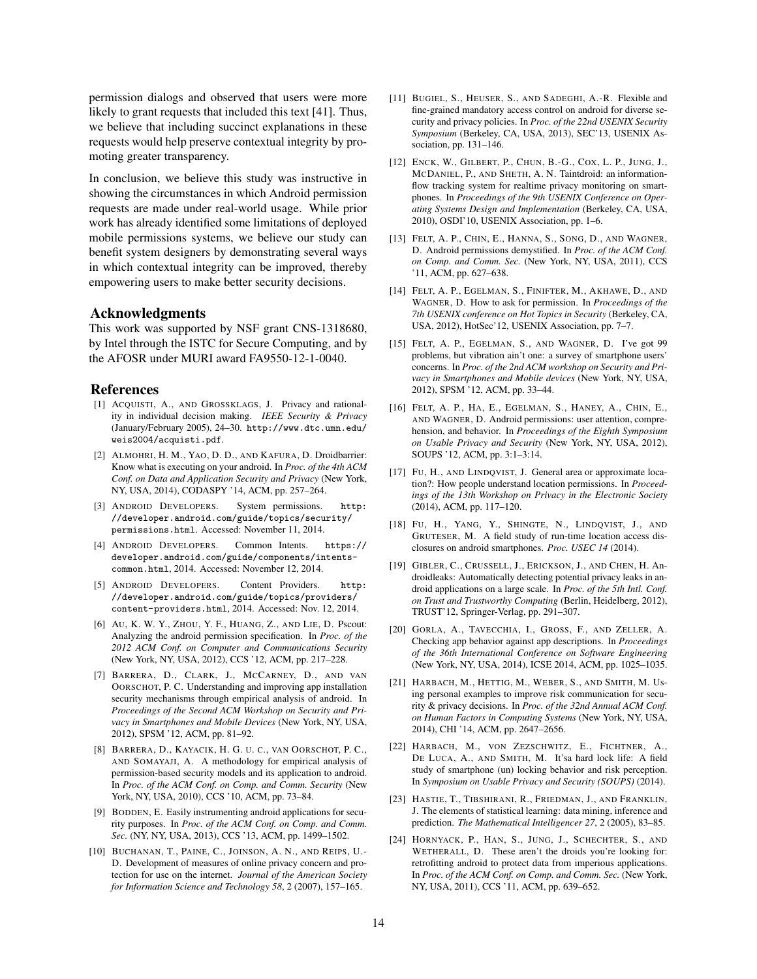permission dialogs and observed that users were more likely to grant requests that included this text [41]. Thus, we believe that including succinct explanations in these requests would help preserve contextual integrity by promoting greater transparency.

In conclusion, we believe this study was instructive in showing the circumstances in which Android permission requests are made under real-world usage. While prior work has already identified some limitations of deployed mobile permissions systems, we believe our study can benefit system designers by demonstrating several ways in which contextual integrity can be improved, thereby empowering users to make better security decisions.

#### Acknowledgments

This work was supported by NSF grant CNS-1318680, by Intel through the ISTC for Secure Computing, and by the AFOSR under MURI award FA9550-12-1-0040.

#### References

- [1] ACQUISTI, A., AND GROSSKLAGS, J. Privacy and rationality in individual decision making. *IEEE Security & Privacy* (January/February 2005), 24–30. http://www.dtc.umn.edu/ weis2004/acquisti.pdf.
- [2] ALMOHRI, H. M., YAO, D. D., AND KAFURA, D. Droidbarrier: Know what is executing on your android. In *Proc. of the 4th ACM Conf. on Data and Application Security and Privacy* (New York, NY, USA, 2014), CODASPY '14, ACM, pp. 257–264.
- [3] ANDROID DEVELOPERS. System permissions. http: //developer.android.com/guide/topics/security/ permissions.html. Accessed: November 11, 2014.
- [4] ANDROID DEVELOPERS. Common Intents. https:// developer.android.com/guide/components/intentscommon.html, 2014. Accessed: November 12, 2014.
- [5] ANDROID DEVELOPERS. Content Providers. http: //developer.android.com/guide/topics/providers/ content-providers.html, 2014. Accessed: Nov. 12, 2014.
- [6] AU, K. W. Y., ZHOU, Y. F., HUANG, Z., AND LIE, D. Pscout: Analyzing the android permission specification. In *Proc. of the 2012 ACM Conf. on Computer and Communications Security* (New York, NY, USA, 2012), CCS '12, ACM, pp. 217–228.
- [7] BARRERA, D., CLARK, J., MCCARNEY, D., AND VAN OORSCHOT, P. C. Understanding and improving app installation security mechanisms through empirical analysis of android. In *Proceedings of the Second ACM Workshop on Security and Privacy in Smartphones and Mobile Devices* (New York, NY, USA, 2012), SPSM '12, ACM, pp. 81–92.
- [8] BARRERA, D., KAYACIK, H. G. U. C., VAN OORSCHOT, P. C., AND SOMAYAJI, A. A methodology for empirical analysis of permission-based security models and its application to android. In *Proc. of the ACM Conf. on Comp. and Comm. Security* (New York, NY, USA, 2010), CCS '10, ACM, pp. 73–84.
- [9] BODDEN, E. Easily instrumenting android applications for security purposes. In *Proc. of the ACM Conf. on Comp. and Comm. Sec.* (NY, NY, USA, 2013), CCS '13, ACM, pp. 1499–1502.
- [10] BUCHANAN, T., PAINE, C., JOINSON, A. N., AND REIPS, U.- D. Development of measures of online privacy concern and protection for use on the internet. *Journal of the American Society for Information Science and Technology 58*, 2 (2007), 157–165.
- [11] BUGIEL, S., HEUSER, S., AND SADEGHI, A.-R. Flexible and fine-grained mandatory access control on android for diverse security and privacy policies. In *Proc. of the 22nd USENIX Security Symposium* (Berkeley, CA, USA, 2013), SEC'13, USENIX Association, pp. 131–146.
- [12] ENCK, W., GILBERT, P., CHUN, B.-G., COX, L. P., JUNG, J., MCDANIEL, P., AND SHETH, A. N. Taintdroid: an informationflow tracking system for realtime privacy monitoring on smartphones. In *Proceedings of the 9th USENIX Conference on Operating Systems Design and Implementation* (Berkeley, CA, USA, 2010), OSDI'10, USENIX Association, pp. 1–6.
- [13] FELT, A. P., CHIN, E., HANNA, S., SONG, D., AND WAGNER, D. Android permissions demystified. In *Proc. of the ACM Conf. on Comp. and Comm. Sec.* (New York, NY, USA, 2011), CCS '11, ACM, pp. 627–638.
- [14] FELT, A. P., EGELMAN, S., FINIFTER, M., AKHAWE, D., AND WAGNER, D. How to ask for permission. In *Proceedings of the 7th USENIX conference on Hot Topics in Security* (Berkeley, CA, USA, 2012), HotSec'12, USENIX Association, pp. 7–7.
- [15] FELT, A. P., EGELMAN, S., AND WAGNER, D. I've got 99 problems, but vibration ain't one: a survey of smartphone users' concerns. In *Proc. of the 2nd ACM workshop on Security and Privacy in Smartphones and Mobile devices* (New York, NY, USA, 2012), SPSM '12, ACM, pp. 33–44.
- [16] FELT, A. P., HA, E., EGELMAN, S., HANEY, A., CHIN, E., AND WAGNER, D. Android permissions: user attention, comprehension, and behavior. In *Proceedings of the Eighth Symposium on Usable Privacy and Security* (New York, NY, USA, 2012), SOUPS '12, ACM, pp. 3:1–3:14.
- [17] FU, H., AND LINDQVIST, J. General area or approximate location?: How people understand location permissions. In *Proceedings of the 13th Workshop on Privacy in the Electronic Society* (2014), ACM, pp. 117–120.
- [18] FU, H., YANG, Y., SHINGTE, N., LINDQVIST, J., AND GRUTESER, M. A field study of run-time location access disclosures on android smartphones. *Proc. USEC 14* (2014).
- [19] GIBLER, C., CRUSSELL, J., ERICKSON, J., AND CHEN, H. Androidleaks: Automatically detecting potential privacy leaks in android applications on a large scale. In *Proc. of the 5th Intl. Conf. on Trust and Trustworthy Computing* (Berlin, Heidelberg, 2012), TRUST'12, Springer-Verlag, pp. 291–307.
- [20] GORLA, A., TAVECCHIA, I., GROSS, F., AND ZELLER, A. Checking app behavior against app descriptions. In *Proceedings of the 36th International Conference on Software Engineering* (New York, NY, USA, 2014), ICSE 2014, ACM, pp. 1025–1035.
- [21] HARBACH, M., HETTIG, M., WEBER, S., AND SMITH, M. Using personal examples to improve risk communication for security & privacy decisions. In *Proc. of the 32nd Annual ACM Conf. on Human Factors in Computing Systems* (New York, NY, USA, 2014), CHI '14, ACM, pp. 2647–2656.
- [22] HARBACH, M., VON ZEZSCHWITZ, E., FICHTNER, A., DE LUCA, A., AND SMITH, M. It'sa hard lock life: A field study of smartphone (un) locking behavior and risk perception. In *Symposium on Usable Privacy and Security (SOUPS)* (2014).
- [23] HASTIE, T., TIBSHIRANI, R., FRIEDMAN, J., AND FRANKLIN, J. The elements of statistical learning: data mining, inference and prediction. *The Mathematical Intelligencer 27*, 2 (2005), 83–85.
- [24] HORNYACK, P., HAN, S., JUNG, J., SCHECHTER, S., AND WETHERALL, D. These aren't the droids you're looking for: retrofitting android to protect data from imperious applications. In *Proc. of the ACM Conf. on Comp. and Comm. Sec.* (New York, NY, USA, 2011), CCS '11, ACM, pp. 639–652.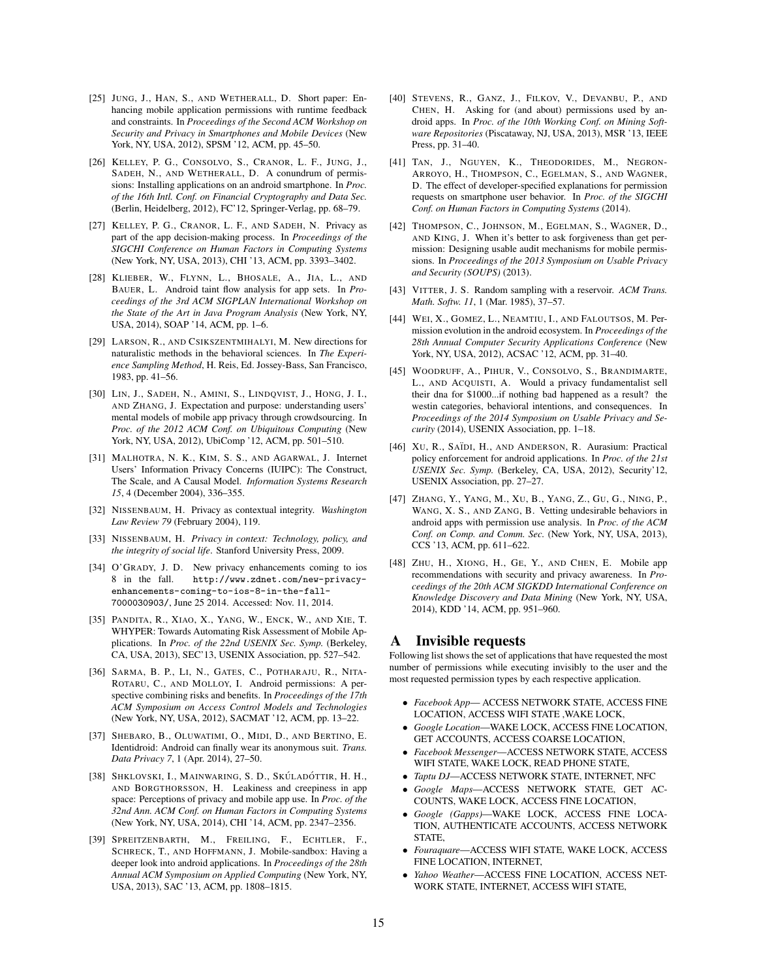- [25] JUNG, J., HAN, S., AND WETHERALL, D. Short paper: Enhancing mobile application permissions with runtime feedback and constraints. In *Proceedings of the Second ACM Workshop on Security and Privacy in Smartphones and Mobile Devices* (New York, NY, USA, 2012), SPSM '12, ACM, pp. 45–50.
- [26] KELLEY, P. G., CONSOLVO, S., CRANOR, L. F., JUNG, J., SADEH, N., AND WETHERALL, D. A conundrum of permissions: Installing applications on an android smartphone. In *Proc. of the 16th Intl. Conf. on Financial Cryptography and Data Sec.* (Berlin, Heidelberg, 2012), FC'12, Springer-Verlag, pp. 68–79.
- [27] KELLEY, P. G., CRANOR, L. F., AND SADEH, N. Privacy as part of the app decision-making process. In *Proceedings of the SIGCHI Conference on Human Factors in Computing Systems* (New York, NY, USA, 2013), CHI '13, ACM, pp. 3393–3402.
- [28] KLIEBER, W., FLYNN, L., BHOSALE, A., JIA, L., AND BAUER, L. Android taint flow analysis for app sets. In *Proceedings of the 3rd ACM SIGPLAN International Workshop on the State of the Art in Java Program Analysis* (New York, NY, USA, 2014), SOAP '14, ACM, pp. 1–6.
- [29] LARSON, R., AND CSIKSZENTMIHALYI, M. New directions for naturalistic methods in the behavioral sciences. In *The Experience Sampling Method*, H. Reis, Ed. Jossey-Bass, San Francisco, 1983, pp. 41–56.
- [30] LIN, J., SADEH, N., AMINI, S., LINDQVIST, J., HONG, J. I., AND ZHANG, J. Expectation and purpose: understanding users' mental models of mobile app privacy through crowdsourcing. In *Proc. of the 2012 ACM Conf. on Ubiquitous Computing* (New York, NY, USA, 2012), UbiComp '12, ACM, pp. 501–510.
- [31] MALHOTRA, N. K., KIM, S. S., AND AGARWAL, J. Internet Users' Information Privacy Concerns (IUIPC): The Construct, The Scale, and A Causal Model. *Information Systems Research 15*, 4 (December 2004), 336–355.
- [32] NISSENBAUM, H. Privacy as contextual integrity. *Washington Law Review 79* (February 2004), 119.
- [33] NISSENBAUM, H. *Privacy in context: Technology, policy, and the integrity of social life*. Stanford University Press, 2009.
- [34] O'GRADY, J. D. New privacy enhancements coming to ios 8 in the fall. http://www.zdnet.com/new-privacyenhancements-coming-to-ios-8-in-the-fall-7000030903/, June 25 2014. Accessed: Nov. 11, 2014.
- [35] PANDITA, R., XIAO, X., YANG, W., ENCK, W., AND XIE, T. WHYPER: Towards Automating Risk Assessment of Mobile Applications. In *Proc. of the 22nd USENIX Sec. Symp.* (Berkeley, CA, USA, 2013), SEC'13, USENIX Association, pp. 527–542.
- [36] SARMA, B. P., LI, N., GATES, C., POTHARAJU, R., NITA-ROTARU, C., AND MOLLOY, I. Android permissions: A perspective combining risks and benefits. In *Proceedings of the 17th ACM Symposium on Access Control Models and Technologies* (New York, NY, USA, 2012), SACMAT '12, ACM, pp. 13–22.
- [37] SHEBARO, B., OLUWATIMI, O., MIDI, D., AND BERTINO, E. Identidroid: Android can finally wear its anonymous suit. *Trans. Data Privacy 7*, 1 (Apr. 2014), 27–50.
- [38] SHKLOVSKI, I., MAINWARING, S. D., SKÚLADÓTTIR, H. H., AND BORGTHORSSON, H. Leakiness and creepiness in app space: Perceptions of privacy and mobile app use. In *Proc. of the 32nd Ann. ACM Conf. on Human Factors in Computing Systems* (New York, NY, USA, 2014), CHI '14, ACM, pp. 2347–2356.
- [39] SPREITZENBARTH, M., FREILING, F., ECHTLER, F., SCHRECK, T., AND HOFFMANN, J. Mobile-sandbox: Having a deeper look into android applications. In *Proceedings of the 28th Annual ACM Symposium on Applied Computing* (New York, NY, USA, 2013), SAC '13, ACM, pp. 1808–1815.
- [40] STEVENS, R., GANZ, J., FILKOV, V., DEVANBU, P., AND CHEN, H. Asking for (and about) permissions used by android apps. In *Proc. of the 10th Working Conf. on Mining Software Repositories* (Piscataway, NJ, USA, 2013), MSR '13, IEEE Press, pp. 31–40.
- [41] TAN, J., NGUYEN, K., THEODORIDES, M., NEGRON-ARROYO, H., THOMPSON, C., EGELMAN, S., AND WAGNER, D. The effect of developer-specified explanations for permission requests on smartphone user behavior. In *Proc. of the SIGCHI Conf. on Human Factors in Computing Systems* (2014).
- [42] THOMPSON, C., JOHNSON, M., EGELMAN, S., WAGNER, D., AND KING, J. When it's better to ask forgiveness than get permission: Designing usable audit mechanisms for mobile permissions. In *Proceedings of the 2013 Symposium on Usable Privacy and Security (SOUPS)* (2013).
- [43] VITTER, J. S. Random sampling with a reservoir. *ACM Trans. Math. Softw. 11*, 1 (Mar. 1985), 37–57.
- [44] WEI, X., GOMEZ, L., NEAMTIU, I., AND FALOUTSOS, M. Permission evolution in the android ecosystem. In *Proceedings of the 28th Annual Computer Security Applications Conference* (New York, NY, USA, 2012), ACSAC '12, ACM, pp. 31–40.
- [45] WOODRUFF, A., PIHUR, V., CONSOLVO, S., BRANDIMARTE, L., AND ACQUISTI, A. Would a privacy fundamentalist sell their dna for \$1000...if nothing bad happened as a result? the westin categories, behavioral intentions, and consequences. In *Proceedings of the 2014 Symposium on Usable Privacy and Security* (2014), USENIX Association, pp. 1–18.
- [46] XU, R., SAÏDI, H., AND ANDERSON, R. Aurasium: Practical policy enforcement for android applications. In *Proc. of the 21st USENIX Sec. Symp.* (Berkeley, CA, USA, 2012), Security'12, USENIX Association, pp. 27–27.
- [47] ZHANG, Y., YANG, M., XU, B., YANG, Z., GU, G., NING, P., WANG, X. S., AND ZANG, B. Vetting undesirable behaviors in android apps with permission use analysis. In *Proc. of the ACM Conf. on Comp. and Comm. Sec.* (New York, NY, USA, 2013), CCS '13, ACM, pp. 611–622.
- [48] ZHU, H., XIONG, H., GE, Y., AND CHEN, E. Mobile app recommendations with security and privacy awareness. In *Proceedings of the 20th ACM SIGKDD International Conference on Knowledge Discovery and Data Mining* (New York, NY, USA, 2014), KDD '14, ACM, pp. 951–960.

#### A Invisible requests

Following list shows the set of applications that have requested the most number of permissions while executing invisibly to the user and the most requested permission types by each respective application.

- *Facebook App* ACCESS NETWORK STATE, ACCESS FINE LOCATION, ACCESS WIFI STATE ,WAKE LOCK,
- *Google Location*—WAKE LOCK, ACCESS FINE LOCATION, GET ACCOUNTS, ACCESS COARSE LOCATION,
- *Facebook Messenger*—ACCESS NETWORK STATE, ACCESS WIFI STATE, WAKE LOCK, READ PHONE STATE,
- *Taptu DJ*—ACCESS NETWORK STATE, INTERNET, NFC
- *Google Maps*—ACCESS NETWORK STATE, GET AC-COUNTS, WAKE LOCK, ACCESS FINE LOCATION,
- *Google (Gapps)*—WAKE LOCK, ACCESS FINE LOCA-TION, AUTHENTICATE ACCOUNTS, ACCESS NETWORK STATE,
- *Fouraquare*—ACCESS WIFI STATE, WAKE LOCK, ACCESS FINE LOCATION, INTERNET,
- *Yahoo Weather*—ACCESS FINE LOCATION, ACCESS NET-WORK STATE, INTERNET, ACCESS WIFI STATE,